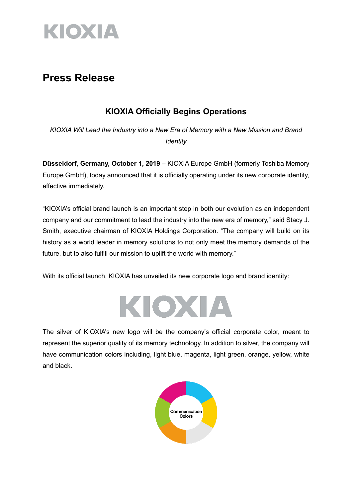

## **Press Release**

### **KIOXIA Officially Begins Operations**

*KIOXIA Will Lead the Industry into a New Era of Memory with a New Mission and Brand Identity*

**Düsseldorf, Germany, October 1, 2019 –** KIOXIA Europe GmbH (formerly Toshiba Memory Europe GmbH), today announced that it is officially operating under its new corporate identity, effective immediately.

"KIOXIA's official brand launch is an important step in both our evolution as an independent company and our commitment to lead the industry into the new era of memory," said Stacy J. Smith, executive chairman of KIOXIA Holdings Corporation. "The company will build on its history as a world leader in memory solutions to not only meet the memory demands of the future, but to also fulfill our mission to uplift the world with memory."

With its official launch, KIOXIA has unveiled its new corporate logo and brand identity:



The silver of KIOXIA's new logo will be the company's official corporate color, meant to represent the superior quality of its memory technology. In addition to silver, the company will have communication colors including, light blue, magenta, light green, orange, yellow, white and black.

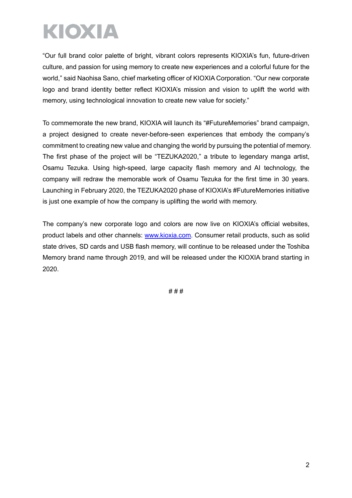# KIOXIA

"Our full brand color palette of bright, vibrant colors represents KIOXIA's fun, future-driven culture, and passion for using memory to create new experiences and a colorful future for the world," said Naohisa Sano, chief marketing officer of KIOXIA Corporation. "Our new corporate logo and brand identity better reflect KIOXIA's mission and vision to uplift the world with memory, using technological innovation to create new value for society."

To commemorate the new brand, KIOXIA will launch its "#FutureMemories" brand campaign, a project designed to create never-before-seen experiences that embody the company's commitment to creating new value and changing the world by pursuing the potential of memory. The first phase of the project will be "TEZUKA2020," a tribute to legendary manga artist, Osamu Tezuka. Using high-speed, large capacity flash memory and AI technology, the company will redraw the memorable work of Osamu Tezuka for the first time in 30 years. Launching in February 2020, the TEZUKA2020 phase of KIOXIA's #FutureMemories initiative is just one example of how the company is uplifting the world with memory.

The company's new corporate logo and colors are now live on KIOXIA's official websites, product labels and other channels: www.kioxia.com. Consumer retail products, such as solid state drives, SD cards and USB flash memory, will continue to be released under the Toshiba Memory brand name through 2019, and will be released under the KIOXIA brand starting in 2020.

# # #